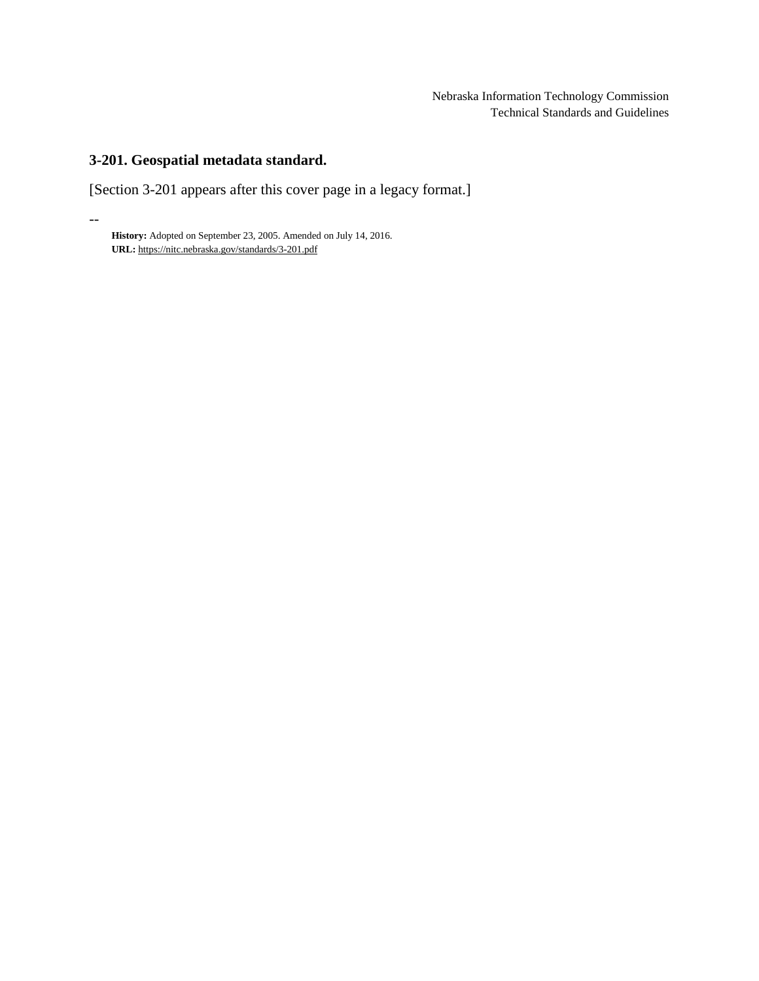# **3-201. Geospatial metadata standard.**

--

[Section 3-201 appears after this cover page in a legacy format.]

**History:** Adopted on September 23, 2005. Amended on July 14, 2016. **URL:** <https://nitc.nebraska.gov/standards/3-201.pdf>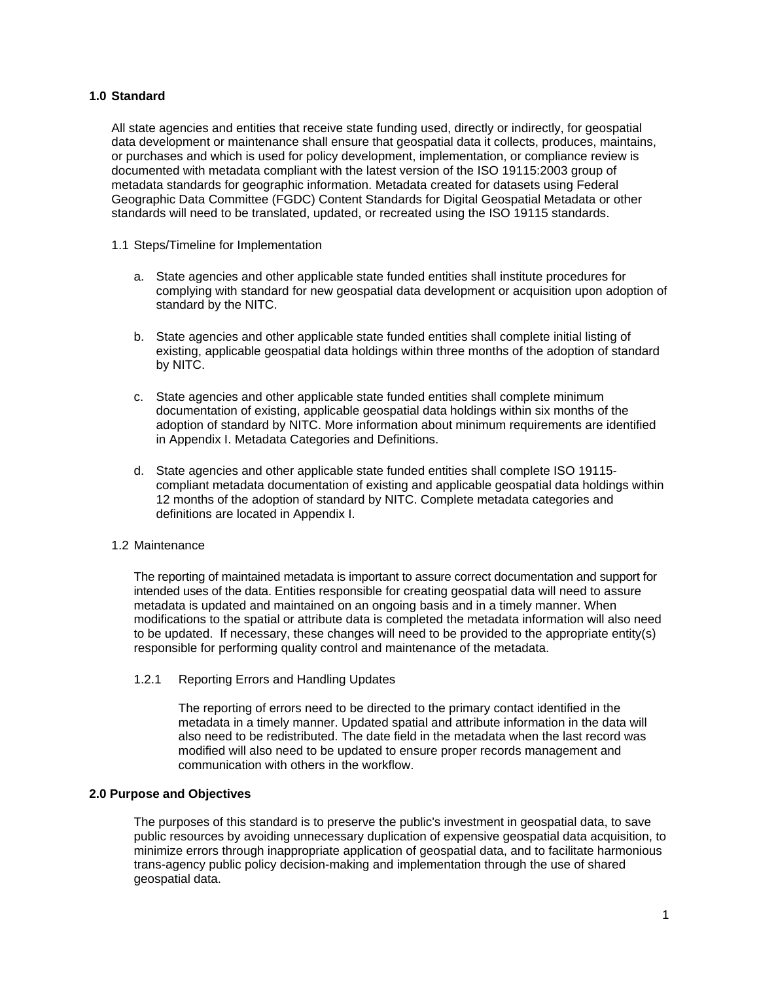# **1.0 Standard**

All state agencies and entities that receive state funding used, directly or indirectly, for geospatial data development or maintenance shall ensure that geospatial data it collects, produces, maintains, or purchases and which is used for policy development, implementation, or compliance review is documented with metadata compliant with the latest version of the ISO 19115:2003 group of metadata standards for geographic information. Metadata created for datasets using Federal Geographic Data Committee (FGDC) Content Standards for Digital Geospatial Metadata or other standards will need to be translated, updated, or recreated using the ISO 19115 standards.

- 1.1 Steps/Timeline for Implementation
	- a. State agencies and other applicable state funded entities shall institute procedures for complying with standard for new geospatial data development or acquisition upon adoption of standard by the NITC.
	- b. State agencies and other applicable state funded entities shall complete initial listing of existing, applicable geospatial data holdings within three months of the adoption of standard by NITC.
	- c. State agencies and other applicable state funded entities shall complete minimum documentation of existing, applicable geospatial data holdings within six months of the adoption of standard by NITC. More information about minimum requirements are identified in Appendix I. Metadata Categories and Definitions.
	- d. State agencies and other applicable state funded entities shall complete ISO 19115 compliant metadata documentation of existing and applicable geospatial data holdings within 12 months of the adoption of standard by NITC. Complete metadata categories and definitions are located in Appendix I.

#### 1.2 Maintenance

The reporting of maintained metadata is important to assure correct documentation and support for intended uses of the data. Entities responsible for creating geospatial data will need to assure metadata is updated and maintained on an ongoing basis and in a timely manner. When modifications to the spatial or attribute data is completed the metadata information will also need to be updated. If necessary, these changes will need to be provided to the appropriate entity(s) responsible for performing quality control and maintenance of the metadata.

1.2.1 Reporting Errors and Handling Updates

The reporting of errors need to be directed to the primary contact identified in the metadata in a timely manner. Updated spatial and attribute information in the data will also need to be redistributed. The date field in the metadata when the last record was modified will also need to be updated to ensure proper records management and communication with others in the workflow.

#### **2.0 Purpose and Objectives**

The purposes of this standard is to preserve the public's investment in geospatial data, to save public resources by avoiding unnecessary duplication of expensive geospatial data acquisition, to minimize errors through inappropriate application of geospatial data, and to facilitate harmonious trans-agency public policy decision-making and implementation through the use of shared geospatial data.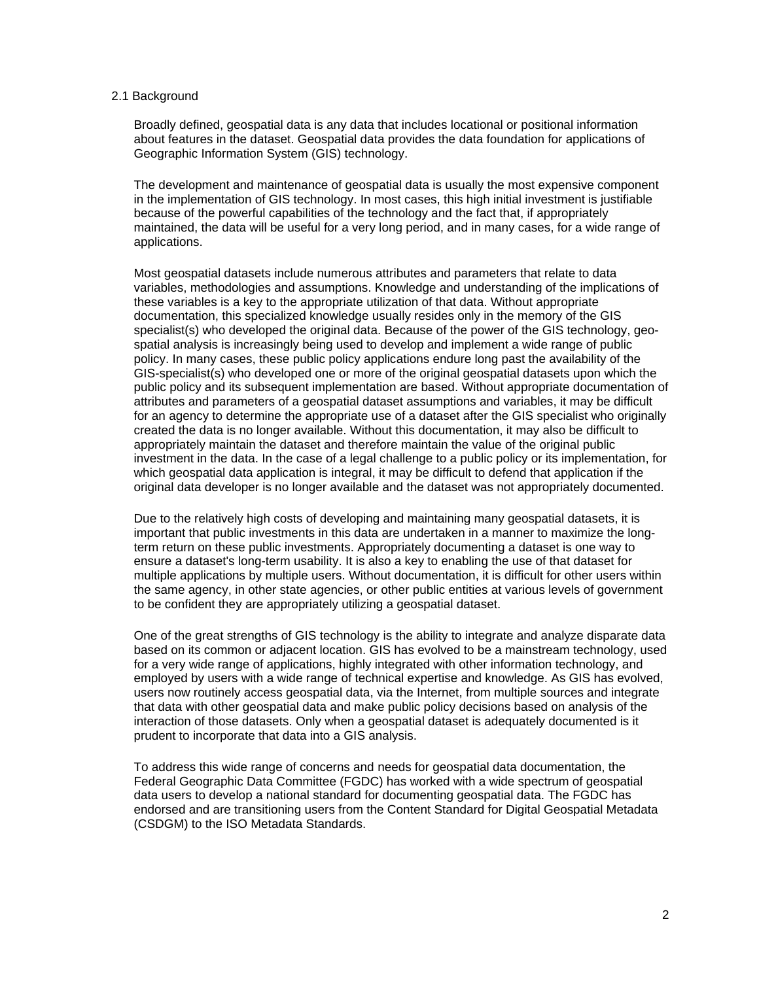#### 2.1 Background

Broadly defined, geospatial data is any data that includes locational or positional information about features in the dataset. Geospatial data provides the data foundation for applications of Geographic Information System (GIS) technology.

The development and maintenance of geospatial data is usually the most expensive component in the implementation of GIS technology. In most cases, this high initial investment is justifiable because of the powerful capabilities of the technology and the fact that, if appropriately maintained, the data will be useful for a very long period, and in many cases, for a wide range of applications.

Most geospatial datasets include numerous attributes and parameters that relate to data variables, methodologies and assumptions. Knowledge and understanding of the implications of these variables is a key to the appropriate utilization of that data. Without appropriate documentation, this specialized knowledge usually resides only in the memory of the GIS specialist(s) who developed the original data. Because of the power of the GIS technology, geospatial analysis is increasingly being used to develop and implement a wide range of public policy. In many cases, these public policy applications endure long past the availability of the GIS-specialist(s) who developed one or more of the original geospatial datasets upon which the public policy and its subsequent implementation are based. Without appropriate documentation of attributes and parameters of a geospatial dataset assumptions and variables, it may be difficult for an agency to determine the appropriate use of a dataset after the GIS specialist who originally created the data is no longer available. Without this documentation, it may also be difficult to appropriately maintain the dataset and therefore maintain the value of the original public investment in the data. In the case of a legal challenge to a public policy or its implementation, for which geospatial data application is integral, it may be difficult to defend that application if the original data developer is no longer available and the dataset was not appropriately documented.

Due to the relatively high costs of developing and maintaining many geospatial datasets, it is important that public investments in this data are undertaken in a manner to maximize the longterm return on these public investments. Appropriately documenting a dataset is one way to ensure a dataset's long-term usability. It is also a key to enabling the use of that dataset for multiple applications by multiple users. Without documentation, it is difficult for other users within the same agency, in other state agencies, or other public entities at various levels of government to be confident they are appropriately utilizing a geospatial dataset.

One of the great strengths of GIS technology is the ability to integrate and analyze disparate data based on its common or adjacent location. GIS has evolved to be a mainstream technology, used for a very wide range of applications, highly integrated with other information technology, and employed by users with a wide range of technical expertise and knowledge. As GIS has evolved, users now routinely access geospatial data, via the Internet, from multiple sources and integrate that data with other geospatial data and make public policy decisions based on analysis of the interaction of those datasets. Only when a geospatial dataset is adequately documented is it prudent to incorporate that data into a GIS analysis.

To address this wide range of concerns and needs for geospatial data documentation, the Federal Geographic Data Committee (FGDC) has worked with a wide spectrum of geospatial data users to develop a national standard for documenting geospatial data. The FGDC has endorsed and are transitioning users from the Content Standard for Digital Geospatial Metadata (CSDGM) to the ISO Metadata Standards.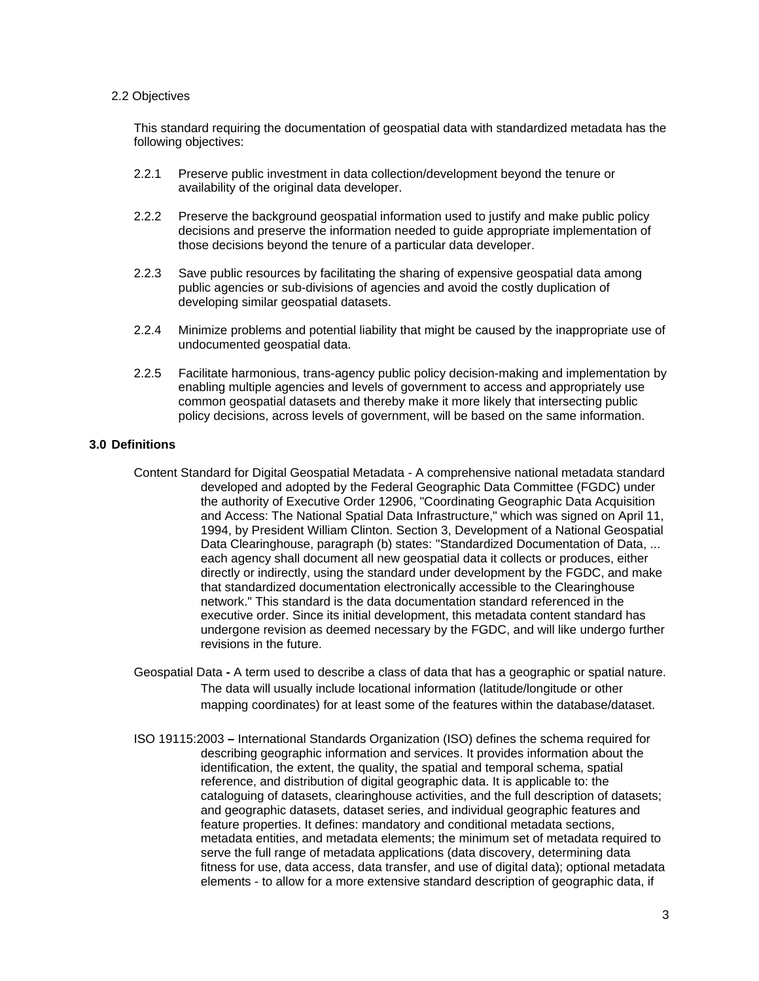#### 2.2 Objectives

This standard requiring the documentation of geospatial data with standardized metadata has the following objectives:

- 2.2.1 Preserve public investment in data collection/development beyond the tenure or availability of the original data developer.
- 2.2.2 Preserve the background geospatial information used to justify and make public policy decisions and preserve the information needed to guide appropriate implementation of those decisions beyond the tenure of a particular data developer.
- 2.2.3 Save public resources by facilitating the sharing of expensive geospatial data among public agencies or sub-divisions of agencies and avoid the costly duplication of developing similar geospatial datasets.
- 2.2.4 Minimize problems and potential liability that might be caused by the inappropriate use of undocumented geospatial data.
- 2.2.5 Facilitate harmonious, trans-agency public policy decision-making and implementation by enabling multiple agencies and levels of government to access and appropriately use common geospatial datasets and thereby make it more likely that intersecting public policy decisions, across levels of government, will be based on the same information.

### **3.0 Definitions**

- Content Standard for Digital Geospatial Metadata A comprehensive national metadata standard developed and adopted by the Federal Geographic Data Committee (FGDC) under the authority of Executive Order 12906, "Coordinating Geographic Data Acquisition and Access: The National Spatial Data Infrastructure," which was signed on April 11, 1994, by President William Clinton. Section 3, Development of a National Geospatial Data Clearinghouse, paragraph (b) states: "Standardized Documentation of Data, ... each agency shall document all new geospatial data it collects or produces, either directly or indirectly, using the standard under development by the FGDC, and make that standardized documentation electronically accessible to the Clearinghouse network." This standard is the data documentation standard referenced in the executive order. Since its initial development, this metadata content standard has undergone revision as deemed necessary by the FGDC, and will like undergo further revisions in the future.
- Geospatial Data **-** A term used to describe a class of data that has a geographic or spatial nature. The data will usually include locational information (latitude/longitude or other mapping coordinates) for at least some of the features within the database/dataset.
- ISO 19115:2003 International Standards Organization (ISO) defines the schema required for describing geographic information and services. It provides information about the identification, the extent, the quality, the spatial and temporal schema, spatial reference, and distribution of digital geographic data. It is applicable to: the cataloguing of datasets, clearinghouse activities, and the full description of datasets; and geographic datasets, dataset series, and individual geographic features and feature properties. It defines: mandatory and conditional metadata sections, metadata entities, and metadata elements; the minimum set of metadata required to serve the full range of metadata applications (data discovery, determining data fitness for use, data access, data transfer, and use of digital data); optional metadata elements - to allow for a more extensive standard description of geographic data, if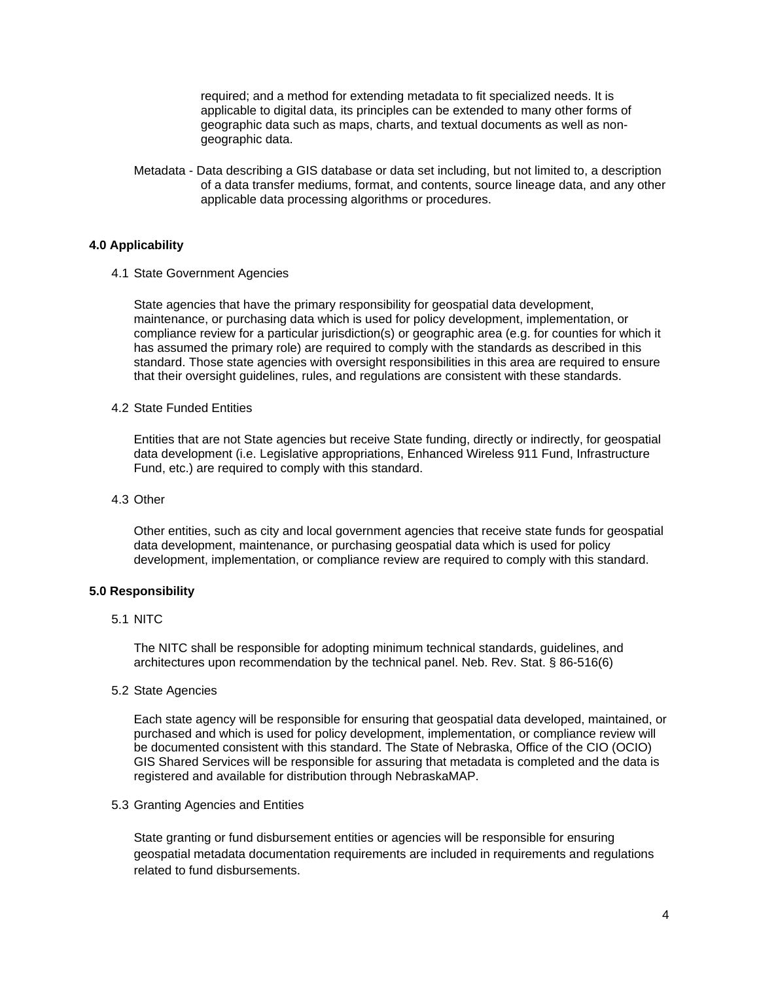required; and a method for extending metadata to fit specialized needs. It is applicable to digital data, its principles can be extended to many other forms of geographic data such as maps, charts, and textual documents as well as nongeographic data.

Metadata - Data describing a GIS database or data set including, but not limited to, a description of a data transfer mediums, format, and contents, source lineage data, and any other applicable data processing algorithms or procedures.

#### **4.0 Applicability**

4.1 State Government Agencies

State agencies that have the primary responsibility for geospatial data development, maintenance, or purchasing data which is used for policy development, implementation, or compliance review for a particular jurisdiction(s) or geographic area (e.g. for counties for which it has assumed the primary role) are required to comply with the standards as described in this standard. Those state agencies with oversight responsibilities in this area are required to ensure that their oversight guidelines, rules, and regulations are consistent with these standards.

#### 4.2 State Funded Entities

Entities that are not State agencies but receive State funding, directly or indirectly, for geospatial data development (i.e. Legislative appropriations, Enhanced Wireless 911 Fund, Infrastructure Fund, etc.) are required to comply with this standard.

#### 4.3 Other

Other entities, such as city and local government agencies that receive state funds for geospatial data development, maintenance, or purchasing geospatial data which is used for policy development, implementation, or compliance review are required to comply with this standard.

#### **5.0 Responsibility**

### 5.1 NITC

The NITC shall be responsible for adopting minimum technical standards, guidelines, and architectures upon recommendation by the technical panel. Neb. Rev. Stat. § 86-516(6)

5.2 State Agencies

Each state agency will be responsible for ensuring that geospatial data developed, maintained, or purchased and which is used for policy development, implementation, or compliance review will be documented consistent with this standard. The State of Nebraska, Office of the CIO (OCIO) GIS Shared Services will be responsible for assuring that metadata is completed and the data is registered and available for distribution through NebraskaMAP.

#### 5.3 Granting Agencies and Entities

State granting or fund disbursement entities or agencies will be responsible for ensuring geospatial metadata documentation requirements are included in requirements and regulations related to fund disbursements.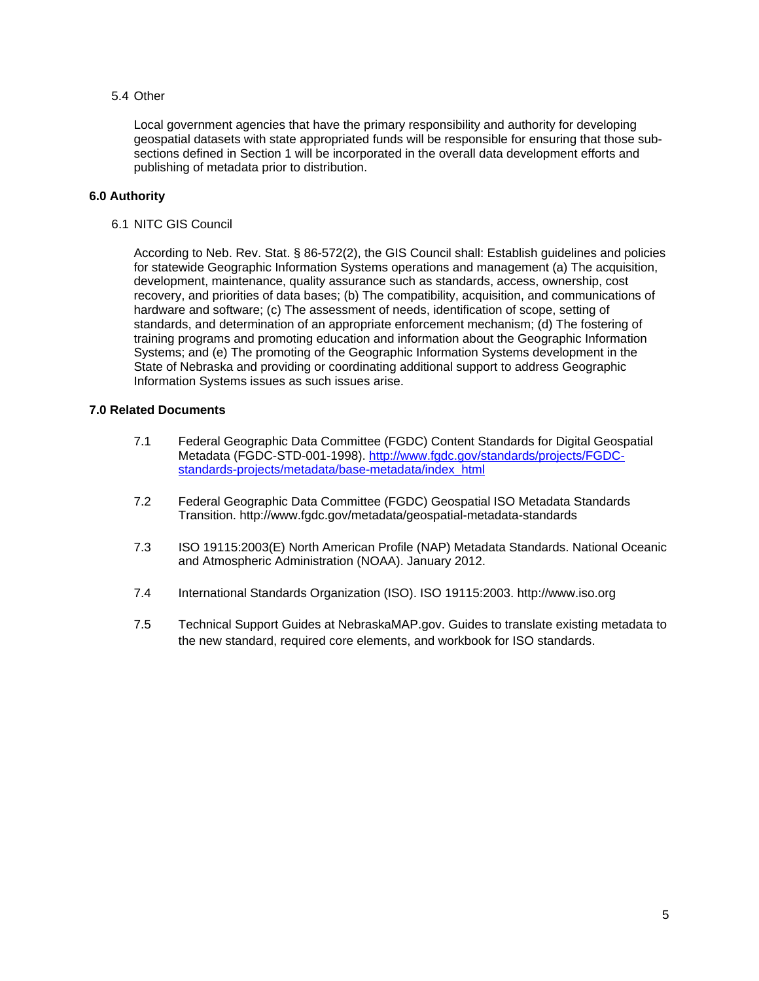# 5.4 Other

Local government agencies that have the primary responsibility and authority for developing geospatial datasets with state appropriated funds will be responsible for ensuring that those subsections defined in Section 1 will be incorporated in the overall data development efforts and publishing of metadata prior to distribution.

# **6.0 Authority**

6.1 NITC GIS Council

According to Neb. Rev. Stat. § 86-572(2), the GIS Council shall: Establish guidelines and policies for statewide Geographic Information Systems operations and management (a) The acquisition, development, maintenance, quality assurance such as standards, access, ownership, cost recovery, and priorities of data bases; (b) The compatibility, acquisition, and communications of hardware and software; (c) The assessment of needs, identification of scope, setting of standards, and determination of an appropriate enforcement mechanism; (d) The fostering of training programs and promoting education and information about the Geographic Information Systems; and (e) The promoting of the Geographic Information Systems development in the State of Nebraska and providing or coordinating additional support to address Geographic Information Systems issues as such issues arise.

# **7.0 Related Documents**

- 7.1 Federal Geographic Data Committee (FGDC) Content Standards for Digital Geospatial Metadata (FGDC-STD-001-1998). http://www.fgdc.gov/standards/projects/FGDCstandards-projects/metadata/base-metadata/index\_html
- 7.2 Federal Geographic Data Committee (FGDC) Geospatial ISO Metadata Standards Transition. http://www.fgdc.gov/metadata/geospatial-metadata-standards
- 7.3 ISO 19115:2003(E) North American Profile (NAP) Metadata Standards. National Oceanic and Atmospheric Administration (NOAA). January 2012.
- 7.4 International Standards Organization (ISO). ISO 19115:2003. http://www.iso.org
- 7.5 Technical Support Guides at NebraskaMAP.gov. Guides to translate existing metadata to the new standard, required core elements, and workbook for ISO standards.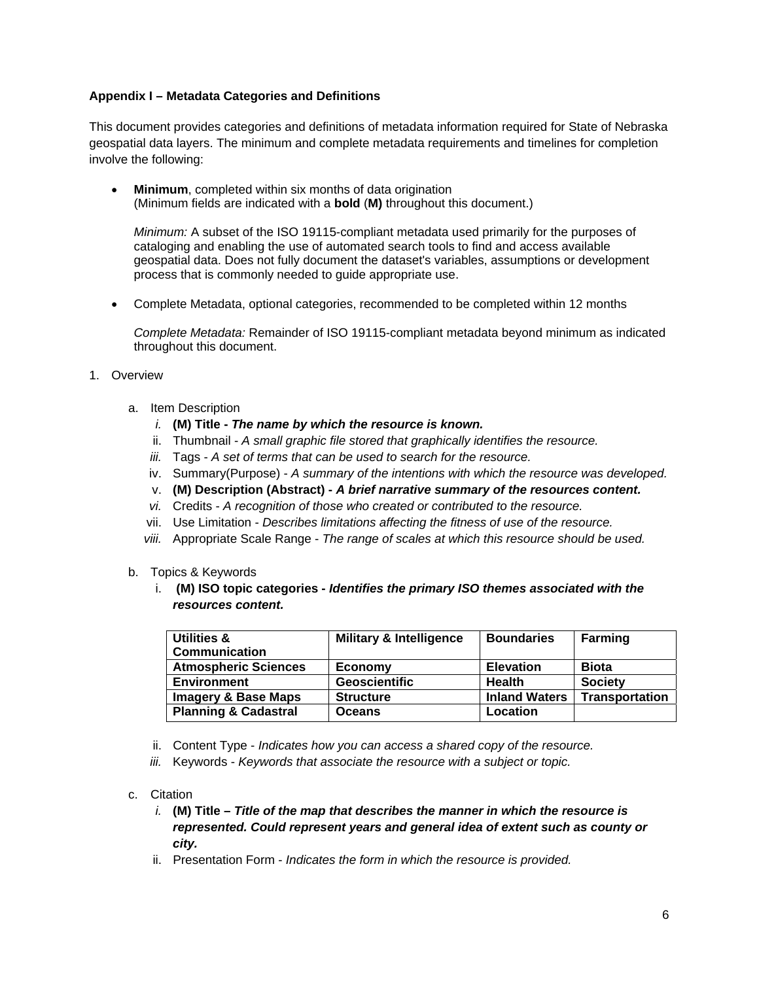# **Appendix I – Metadata Categories and Definitions**

This document provides categories and definitions of metadata information required for State of Nebraska geospatial data layers. The minimum and complete metadata requirements and timelines for completion involve the following:

 **Minimum**, completed within six months of data origination (Minimum fields are indicated with a **bold** (**M)** throughout this document.)

*Minimum:* A subset of the ISO 19115-compliant metadata used primarily for the purposes of cataloging and enabling the use of automated search tools to find and access available geospatial data. Does not fully document the dataset's variables, assumptions or development process that is commonly needed to guide appropriate use.

Complete Metadata, optional categories, recommended to be completed within 12 months

*Complete Metadata:* Remainder of ISO 19115-compliant metadata beyond minimum as indicated throughout this document.

- 1. Overview
	- a. Item Description
		- *i.* **(M) Title** *The name by which the resource is known.*
		- ii. Thumbnail *A small graphic file stored that graphically identifies the resource.*
		- *iii.* Tags *A set of terms that can be used to search for the resource.*
		- iv. Summary(Purpose) *A summary of the intentions with which the resource was developed.*
		- v. **(M) Description (Abstract)** *A brief narrative summary of the resources content.*
		- *vi.* Credits *A recognition of those who created or contributed to the resource.*
		- vii. Use Limitation *Describes limitations affecting the fitness of use of the resource.*
		- *viii.* Appropriate Scale Range *The range of scales at which this resource should be used.*
	- b. Topics & Keywords
		- i. **(M) ISO topic categories -** *Identifies the primary ISO themes associated with the resources content.*

| Utilities &                     | <b>Military &amp; Intelligence</b> | <b>Boundaries</b>    | <b>Farming</b>        |
|---------------------------------|------------------------------------|----------------------|-----------------------|
| <b>Communication</b>            |                                    |                      |                       |
| <b>Atmospheric Sciences</b>     | Economy                            | <b>Elevation</b>     | <b>Biota</b>          |
| <b>Environment</b>              | <b>Geoscientific</b>               | <b>Health</b>        | <b>Society</b>        |
| <b>Imagery &amp; Base Maps</b>  | <b>Structure</b>                   | <b>Inland Waters</b> | <b>Transportation</b> |
| <b>Planning &amp; Cadastral</b> | <b>Oceans</b>                      | Location             |                       |

- ii. Content Type *Indicates how you can access a shared copy of the resource.*
- *iii.* Keywords *Keywords that associate the resource with a subject or topic.*
- c. Citation
	- *i.* **(M) Title** *Title of the map that describes the manner in which the resource is represented. Could represent years and general idea of extent such as county or city.*
	- ii. Presentation Form *Indicates the form in which the resource is provided.*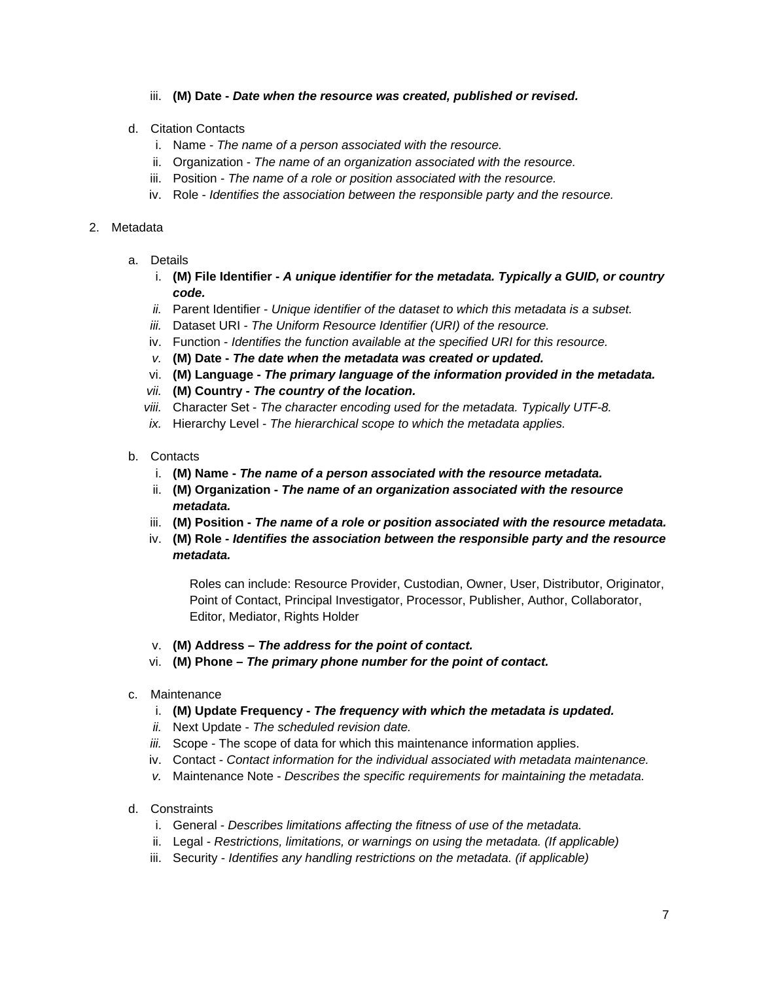# iii. **(M) Date -** *Date when the resource was created, published or revised.*

- d. Citation Contacts
	- i. Name *The name of a person associated with the resource.*
	- ii. Organization *The name of an organization associated with the resource.*
	- iii. Position *The name of a role or position associated with the resource.*
	- iv. Role *Identifies the association between the responsible party and the resource.*

#### 2. Metadata

- a. Details
	- i. **(M) File Identifier** *A unique identifier for the metadata. Typically a GUID, or country code.*
	- *ii.* Parent Identifier *Unique identifier of the dataset to which this metadata is a subset.*
	- *iii.* Dataset URI *The Uniform Resource Identifier (URI) of the resource.*
	- iv. Function *Identifies the function available at the specified URI for this resource.*
	- *v.* **(M) Date** *The date when the metadata was created or updated.*
	- vi. **(M) Language** *The primary language of the information provided in the metadata.*
	- *vii.* **(M) Country** *The country of the location.*
	- *viii.* Character Set *The character encoding used for the metadata. Typically UTF-8.*
	- *ix.* Hierarchy Level *The hierarchical scope to which the metadata applies.*
- b. Contacts
	- i. **(M) Name** *The name of a person associated with the resource metadata.*
	- ii. **(M) Organization** *The name of an organization associated with the resource metadata.*
	- iii. **(M) Position** *The name of a role or position associated with the resource metadata.*
	- iv. **(M) Role** *Identifies the association between the responsible party and the resource metadata.*

Roles can include: Resource Provider, Custodian, Owner, User, Distributor, Originator, Point of Contact, Principal Investigator, Processor, Publisher, Author, Collaborator, Editor, Mediator, Rights Holder

- v. **(M) Address** *The address for the point of contact.*
- vi. **(M) Phone** *The primary phone number for the point of contact.*
- c. Maintenance
	- i. **(M) Update Frequency** *The frequency with which the metadata is updated.*
	- *ii.* Next Update *The scheduled revision date.*
	- *iii.* Scope The scope of data for which this maintenance information applies.
	- iv. Contact *Contact information for the individual associated with metadata maintenance.*
	- *v.* Maintenance Note *Describes the specific requirements for maintaining the metadata.*
- d. Constraints
	- i. General *Describes limitations affecting the fitness of use of the metadata.*
	- ii. Legal *Restrictions, limitations, or warnings on using the metadata. (If applicable)*
	- iii. Security *Identifies any handling restrictions on the metadata. (if applicable)*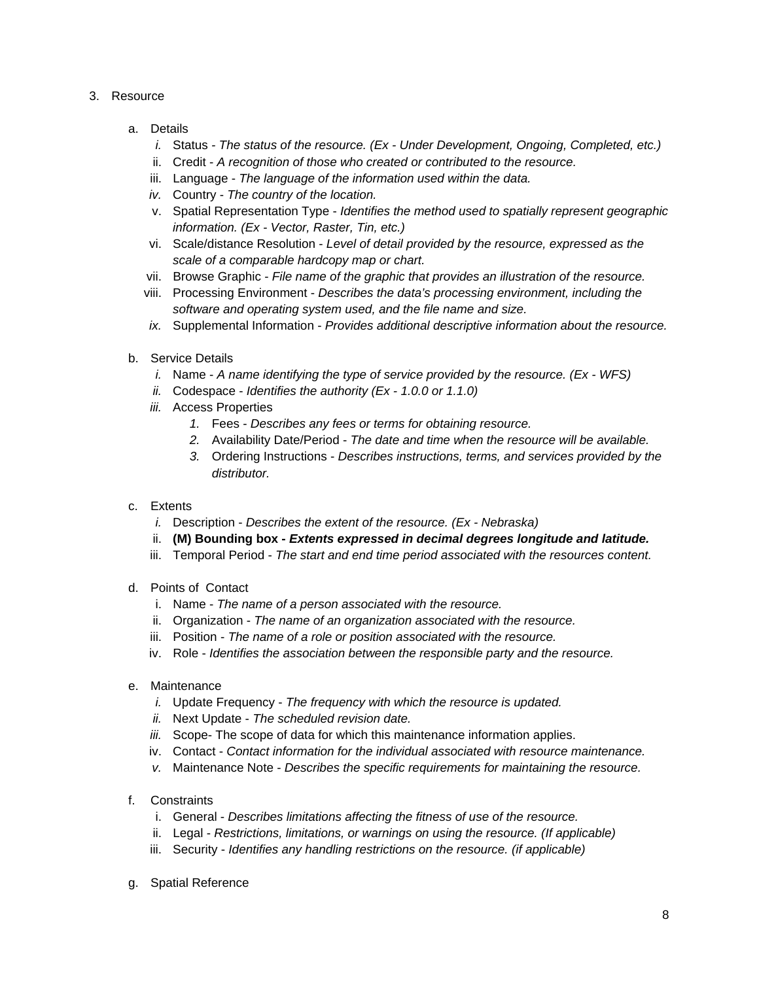- 3. Resource
	- a. Details
		- *i.* Status  *The status of the resource. (Ex Under Development, Ongoing, Completed, etc.)*
		- ii. Credit *A recognition of those who created or contributed to the resource.*
		- iii. Language *The language of the information used within the data.*
		- *iv.* Country *The country of the location.*
		- v. Spatial Representation Type *Identifies the method used to spatially represent geographic information. (Ex - Vector, Raster, Tin, etc.)*
		- vi. Scale/distance Resolution *Level of detail provided by the resource, expressed as the scale of a comparable hardcopy map or chart.*
		- vii. Browse Graphic *File name of the graphic that provides an illustration of the resource.*
		- viii. Processing Environment *Describes the data's processing environment, including the software and operating system used, and the file name and size.*
		- *ix.* Supplemental Information - *Provides additional descriptive information about the resource.*
	- b. Service Details
		- *i.* Name *A name identifying the type of service provided by the resource. (Ex WFS)*
		- *ii.* Codespace *Identifies the authority (Ex 1.0.0 or 1.1.0)*
		- *iii.* Access Properties
			- *1.* Fees *Describes any fees or terms for obtaining resource.*
			- *2.* Availability Date/Period *The date and time when the resource will be available.*
			- *3.* Ordering Instructions *Describes instructions, terms, and services provided by the distributor.*
	- c. Extents
		- *i.* Description *Describes the extent of the resource. (Ex Nebraska)*
		- ii. **(M) Bounding box** *Extents expressed in decimal degrees longitude and latitude.*
		- iii. Temporal Period *The start and end time period associated with the resources content.*
	- d. Points of Contact
		- i. Name *The name of a person associated with the resource.*
		- ii. Organization *The name of an organization associated with the resource.*
		- iii. Position *The name of a role or position associated with the resource.*
		- iv. Role *Identifies the association between the responsible party and the resource.*
	- e. Maintenance
		- *i.* Update Frequency *The frequency with which the resource is updated.*
		- *ii.* Next Update *The scheduled revision date.*
		- *iii.* Scope- The scope of data for which this maintenance information applies.
		- iv. Contact *Contact information for the individual associated with resource maintenance.*
		- *v.* Maintenance Note *Describes the specific requirements for maintaining the resource.*
	- f. Constraints
		- i. General *Describes limitations affecting the fitness of use of the resource.*
		- ii. Legal *Restrictions, limitations, or warnings on using the resource. (If applicable)*
		- iii. Security *Identifies any handling restrictions on the resource. (if applicable)*
	- g. Spatial Reference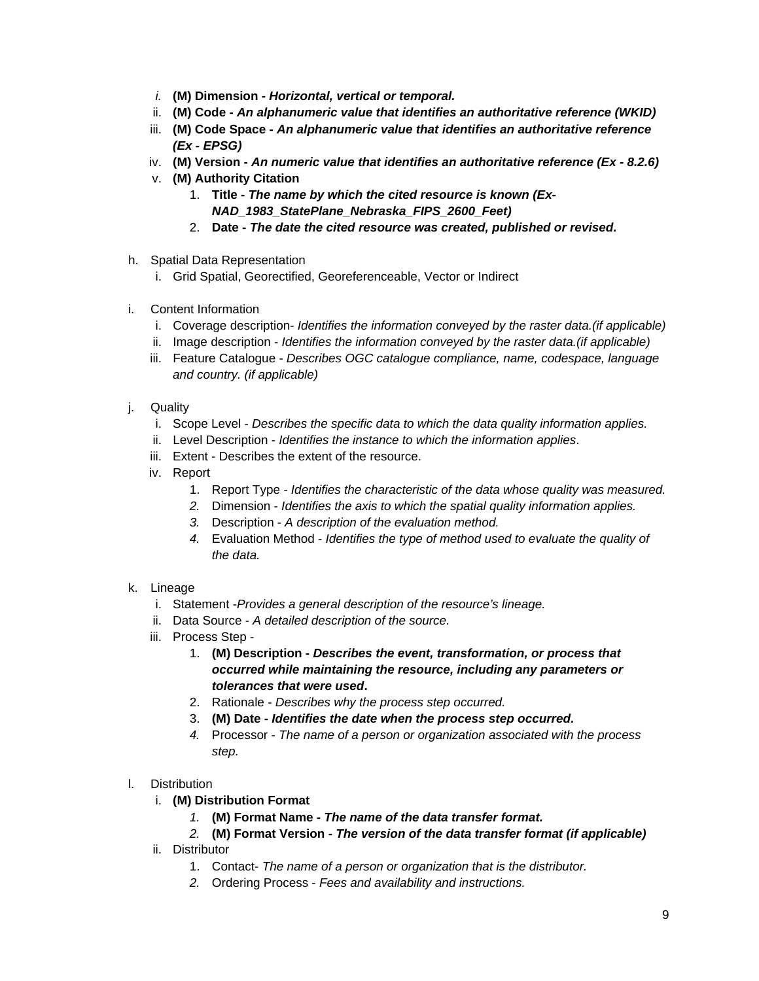- *i.* **(M) Dimension**  *Horizontal, vertical or temporal.*
- ii. **(M) Code** *An alphanumeric value that identifies an authoritative reference (WKID)*
- iii. **(M) Code Space** *An alphanumeric value that identifies an authoritative reference (Ex - EPSG)*
- iv. **(M) Version** *An numeric value that identifies an authoritative reference (Ex 8.2.6)*
- v. **(M) Authority Citation** 
	- 1. **Title** *The name by which the cited resource is known (Ex-NAD\_1983\_StatePlane\_Nebraska\_FIPS\_2600\_Feet)*
	- 2. **Date** *The date the cited resource was created, published or revised.*
- h. Spatial Data Representation
	- i. Grid Spatial, Georectified, Georeferenceable, Vector or Indirect
- i. Content Information
	- i. Coverage description- *Identifies the information conveyed by the raster data.(if applicable)*
	- ii. Image description *Identifies the information conveyed by the raster data.(if applicable)*
	- iii. Feature Catalogue *Describes OGC catalogue compliance, name, codespace, language and country. (if applicable)*
- j. Quality
	- i. Scope Level *Describes the specific data to which the data quality information applies.*
	- ii. Level Description *Identifies the instance to which the information applies*.
	- iii. Extent Describes the extent of the resource.
	- iv. Report
		- 1. Report Type  *Identifies the characteristic of the data whose quality was measured.*
		- *2.* Dimension *Identifies the axis to which the spatial quality information applies.*
		- *3.* Description *A description of the evaluation method.*
		- *4.* Evaluation Method *Identifies the type of method used to evaluate the quality of the data.*

# k. Lineage

- i. Statement -*Provides a general description of the resource's lineage.*
- ii. Data Source *A detailed description of the source.*
- iii. Process Step
	- 1. **(M) Description** *Describes the event, transformation, or process that occurred while maintaining the resource, including any parameters or tolerances that were used***.**
	- 2. Rationale *Describes why the process step occurred.*
	- 3. **(M) Date** *Identifies the date when the process step occurred.*
	- *4.* Processor *The name of a person or organization associated with the process step.*
- l. Distribution
	- i. **(M) Distribution Format** 
		- *1.* **(M) Format Name** *The name of the data transfer format.*
		- *2.* **(M) Format Version -** *The version of the data transfer format (if applicable)*
	- ii. Distributor
		- 1. Contact- *The name of a person or organization that is the distributor.*
		- *2.* Ordering Process *Fees and availability and instructions.*